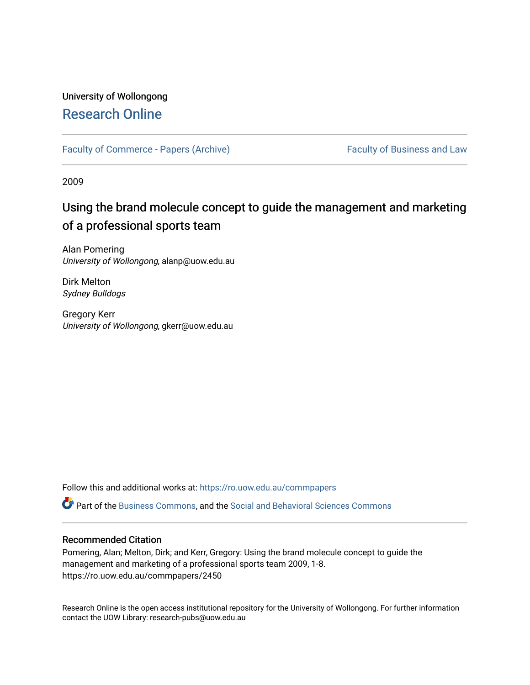# University of Wollongong [Research Online](https://ro.uow.edu.au/)

[Faculty of Commerce - Papers \(Archive\)](https://ro.uow.edu.au/commpapers) Faculty of Business and Law

2009

# Using the brand molecule concept to guide the management and marketing of a professional sports team

Alan Pomering University of Wollongong, alanp@uow.edu.au

Dirk Melton Sydney Bulldogs

Gregory Kerr University of Wollongong, gkerr@uow.edu.au

Follow this and additional works at: [https://ro.uow.edu.au/commpapers](https://ro.uow.edu.au/commpapers?utm_source=ro.uow.edu.au%2Fcommpapers%2F2450&utm_medium=PDF&utm_campaign=PDFCoverPages) 

Part of the [Business Commons](http://network.bepress.com/hgg/discipline/622?utm_source=ro.uow.edu.au%2Fcommpapers%2F2450&utm_medium=PDF&utm_campaign=PDFCoverPages), and the [Social and Behavioral Sciences Commons](http://network.bepress.com/hgg/discipline/316?utm_source=ro.uow.edu.au%2Fcommpapers%2F2450&utm_medium=PDF&utm_campaign=PDFCoverPages) 

#### Recommended Citation

Pomering, Alan; Melton, Dirk; and Kerr, Gregory: Using the brand molecule concept to guide the management and marketing of a professional sports team 2009, 1-8. https://ro.uow.edu.au/commpapers/2450

Research Online is the open access institutional repository for the University of Wollongong. For further information contact the UOW Library: research-pubs@uow.edu.au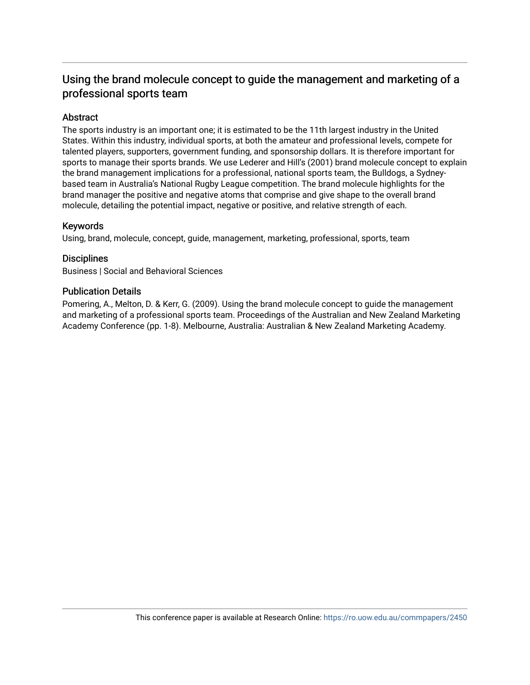## Using the brand molecule concept to guide the management and marketing of a professional sports team

#### Abstract

The sports industry is an important one; it is estimated to be the 11th largest industry in the United States. Within this industry, individual sports, at both the amateur and professional levels, compete for talented players, supporters, government funding, and sponsorship dollars. It is therefore important for sports to manage their sports brands. We use Lederer and Hill's (2001) brand molecule concept to explain the brand management implications for a professional, national sports team, the Bulldogs, a Sydneybased team in Australia's National Rugby League competition. The brand molecule highlights for the brand manager the positive and negative atoms that comprise and give shape to the overall brand molecule, detailing the potential impact, negative or positive, and relative strength of each.

#### Keywords

Using, brand, molecule, concept, guide, management, marketing, professional, sports, team

#### **Disciplines**

Business | Social and Behavioral Sciences

#### Publication Details

Pomering, A., Melton, D. & Kerr, G. (2009). Using the brand molecule concept to guide the management and marketing of a professional sports team. Proceedings of the Australian and New Zealand Marketing Academy Conference (pp. 1-8). Melbourne, Australia: Australian & New Zealand Marketing Academy.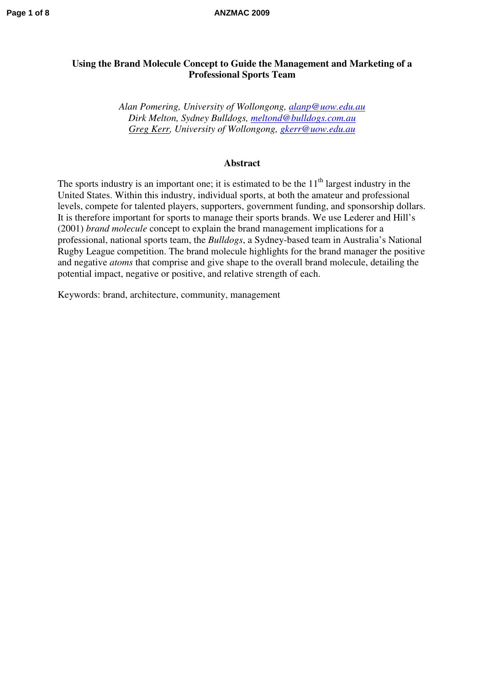## **Using the Brand Molecule Concept to Guide the Management and Marketing of a Professional Sports Team**

*Alan Pomering, University of Wollongong, [alanp@uow.edu.au](mailto:alanp@uow.edu.au) Dirk Melton, Sydney Bulldogs, [meltond@bulldogs.com.au](mailto:meltond@bulldogs.com.au) Greg Kerr, University of Wollongong, [gkerr@uow.edu.au](mailto:gkerr@uow.edu.au)*

#### **Abstract**

The sports industry is an important one; it is estimated to be the  $11<sup>th</sup>$  largest industry in the United States. Within this industry, individual sports, at both the amateur and professional levels, compete for talented players, supporters, government funding, and sponsorship dollars. It is therefore important for sports to manage their sports brands. We use Lederer and Hill's (2001) *brand molecule* concept to explain the brand management implications for a professional, national sports team, the *Bulldogs*, a Sydney-based team in Australia's National Rugby League competition. The brand molecule highlights for the brand manager the positive and negative *atoms* that comprise and give shape to the overall brand molecule, detailing the potential impact, negative or positive, and relative strength of each.

Keywords: brand, architecture, community, management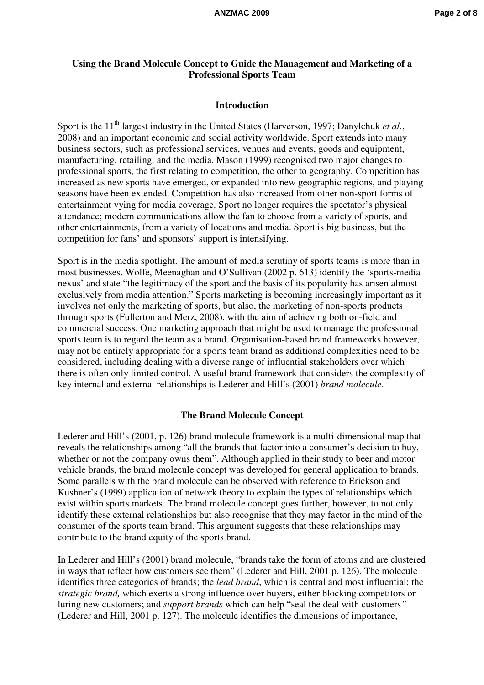#### **Using the Brand Molecule Concept to Guide the Management and Marketing of a Professional Sports Team**

#### **Introduction**

Sport is the 11<sup>th</sup> largest industry in the United States (Harverson, 1997; Danylchuk et al., 2008) and an important economic and social activity worldwide. Sport extends into many business sectors, such as professional services, venues and events, goods and equipment, manufacturing, retailing, and the media. Mason (1999) recognised two major changes to professional sports, the first relating to competition, the other to geography. Competition has increased as new sports have emerged, or expanded into new geographic regions, and playing seasons have been extended. Competition has also increased from other non-sport forms of entertainment vying for media coverage. Sport no longer requires the spectator's physical attendance; modern communications allow the fan to choose from a variety of sports, and other entertainments, from a variety of locations and media. Sport is big business, but the competition for fans' and sponsors' support is intensifying.

Sport is in the media spotlight. The amount of media scrutiny of sports teams is more than in most businesses. Wolfe, Meenaghan and O'Sullivan (2002 p. 613) identify the 'sports-media nexus' and state "the legitimacy of the sport and the basis of its popularity has arisen almost exclusively from media attention." Sports marketing is becoming increasingly important as it involves not only the marketing of sports, but also, the marketing of non-sports products through sports (Fullerton and Merz, 2008), with the aim of achieving both on-field and commercial success. One marketing approach that might be used to manage the professional sports team is to regard the team as a brand. Organisation-based brand frameworks however, may not be entirely appropriate for a sports team brand as additional complexities need to be considered, including dealing with a diverse range of influential stakeholders over which there is often only limited control. A useful brand framework that considers the complexity of key internal and external relationships is Lederer and Hill's (2001) *brand molecule*.

#### **The Brand Molecule Concept**

Lederer and Hill's (2001, p. 126) brand molecule framework is a multi-dimensional map that reveals the relationships among "all the brands that factor into a consumer's decision to buy, whether or not the company owns them". Although applied in their study to beer and motor vehicle brands, the brand molecule concept was developed for general application to brands. Some parallels with the brand molecule can be observed with reference to Erickson and Kushner's (1999) application of network theory to explain the types of relationships which exist within sports markets. The brand molecule concept goes further, however, to not only identify these external relationships but also recognise that they may factor in the mind of the consumer of the sports team brand. This argument suggests that these relationships may contribute to the brand equity of the sports brand.

In Lederer and Hill's (2001) brand molecule, "brands take the form of atoms and are clustered in ways that reflect how customers see them" (Lederer and Hill, 2001 p. 126). The molecule identifies three categories of brands; the *lead brand*, which is central and most influential; the *strategic brand,* which exerts a strong influence over buyers, either blocking competitors or luring new customers; and *support brands* which can help "seal the deal with customers*"* (Lederer and Hill, 2001 p. 127). The molecule identifies the dimensions of importance,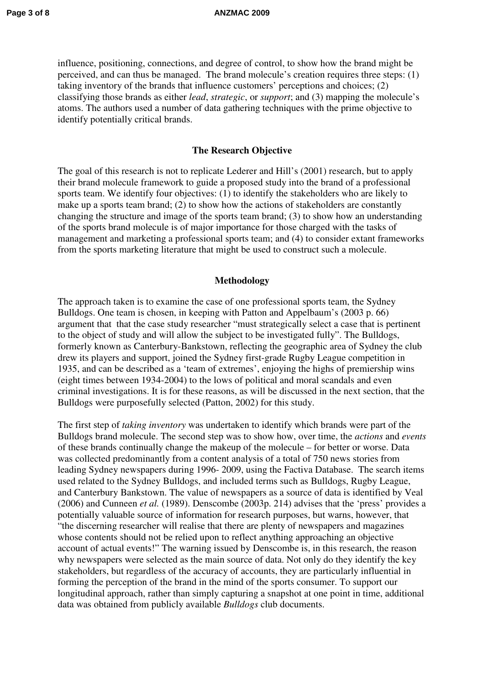influence, positioning, connections, and degree of control, to show how the brand might be perceived, and can thus be managed. The brand molecule's creation requires three steps: (1) taking inventory of the brands that influence customers' perceptions and choices; (2) classifying those brands as either *lead*, *strategic*, or *support*; and (3) mapping the molecule's atoms. The authors used a number of data gathering techniques with the prime objective to identify potentially critical brands.

#### **The Research Objective**

The goal of this research is not to replicate Lederer and Hill's (2001) research, but to apply their brand molecule framework to guide a proposed study into the brand of a professional sports team. We identify four objectives: (1) to identify the stakeholders who are likely to make up a sports team brand; (2) to show how the actions of stakeholders are constantly changing the structure and image of the sports team brand; (3) to show how an understanding of the sports brand molecule is of major importance for those charged with the tasks of management and marketing a professional sports team; and (4) to consider extant frameworks from the sports marketing literature that might be used to construct such a molecule.

#### **Methodology**

The approach taken is to examine the case of one professional sports team, the Sydney Bulldogs. One team is chosen, in keeping with Patton and Appelbaum's (2003 p. 66) argument that that the case study researcher "must strategically select a case that is pertinent to the object of study and will allow the subject to be investigated fully". The Bulldogs, formerly known as Canterbury-Bankstown, reflecting the geographic area of Sydney the club drew its players and support, joined the Sydney first-grade Rugby League competition in 1935, and can be described as a 'team of extremes', enjoying the highs of premiership wins (eight times between 1934-2004) to the lows of political and moral scandals and even criminal investigations. It is for these reasons, as will be discussed in the next section, that the Bulldogs were purposefully selected (Patton, 2002) for this study.

The first step of *taking inventory* was undertaken to identify which brands were part of the Bulldogs brand molecule. The second step was to show how, over time, the *actions* and *events* of these brands continually change the makeup of the molecule – for better or worse. Data was collected predominantly from a content analysis of a total of 750 news stories from leading Sydney newspapers during 1996- 2009, using the Factiva Database. The search items used related to the Sydney Bulldogs, and included terms such as Bulldogs, Rugby League, and Canterbury Bankstown. The value of newspapers as a source of data is identified by Veal (2006) and Cunneen *et al.* (1989). Denscombe (2003p. 214) advises that the 'press' provides a potentially valuable source of information for research purposes, but warns, however, that "the discerning researcher will realise that there are plenty of newspapers and magazines whose contents should not be relied upon to reflect anything approaching an objective account of actual events!" The warning issued by Denscombe is, in this research, the reason why newspapers were selected as the main source of data. Not only do they identify the key stakeholders, but regardless of the accuracy of accounts, they are particularly influential in forming the perception of the brand in the mind of the sports consumer. To support our longitudinal approach, rather than simply capturing a snapshot at one point in time, additional data was obtained from publicly available *Bulldogs* club documents.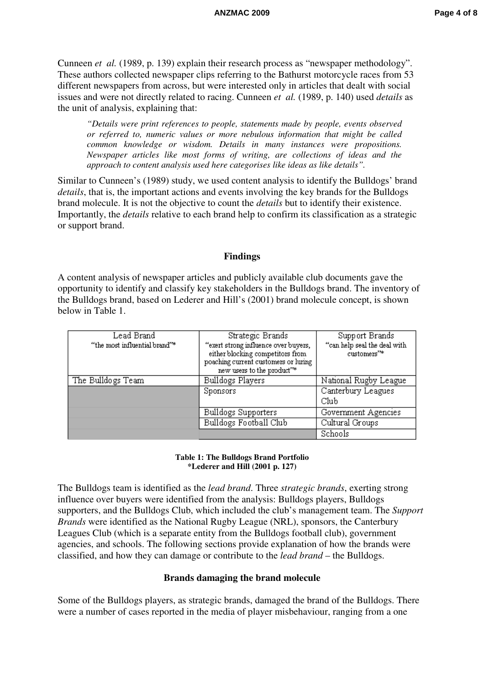Cunneen *et al.* (1989, p. 139) explain their research process as "newspaper methodology". These authors collected newspaper clips referring to the Bathurst motorcycle races from 53 different newspapers from across, but were interested only in articles that dealt with social issues and were not directly related to racing. Cunneen *et al.* (1989, p. 140) used *details* as the unit of analysis, explaining that:

*"Details were print references to people, statements made by people, events observed or referred to, numeric values or more nebulous information that might be called common knowledge or wisdom. Details in many instances were propositions. Newspaper articles like most forms of writing, are collections of ideas and the approach to content analysis used here categorises like ideas as like details".* 

Similar to Cunneen's (1989) study, we used content analysis to identify the Bulldogs' brand *details*, that is, the important actions and events involving the key brands for the Bulldogs brand molecule. It is not the objective to count the *details* but to identify their existence. Importantly, the *details* relative to each brand help to confirm its classification as a strategic or support brand.

#### **Findings**

A content analysis of newspaper articles and publicly available club documents gave the opportunity to identify and classify key stakeholders in the Bulldogs brand. The inventory of the Bulldogs brand, based on Lederer and Hill's (2001) brand molecule concept, is shown below in Table 1.

| Lead Brand<br>"the most influential brand"* | Strategic Brands<br>"exert strong influence over buyers,<br>either blocking competitors from<br>poaching current customers or luring<br>new users to the product"* | Support Brands<br>"can help seal the deal with<br>customers"* |
|---------------------------------------------|--------------------------------------------------------------------------------------------------------------------------------------------------------------------|---------------------------------------------------------------|
| The Bulldogs Team                           | Bulldogs Players                                                                                                                                                   | National Rugby League                                         |
|                                             | <b>Sponsors</b>                                                                                                                                                    | Canterbury Leagues<br>Club                                    |
|                                             | Bulldogs Supporters                                                                                                                                                | Government Agencies                                           |
|                                             | Bulldogs Football Club                                                                                                                                             | Cultural Groups                                               |
|                                             |                                                                                                                                                                    | Schools                                                       |

#### **Table 1: The Bulldogs Brand Portfolio \*Lederer and Hill (2001 p. 127)**

The Bulldogs team is identified as the *lead brand*. Three *strategic brands*, exerting strong influence over buyers were identified from the analysis: Bulldogs players, Bulldogs supporters, and the Bulldogs Club, which included the club's management team. The *Support Brands* were identified as the National Rugby League (NRL), sponsors, the Canterbury Leagues Club (which is a separate entity from the Bulldogs football club), government agencies, and schools. The following sections provide explanation of how the brands were classified, and how they can damage or contribute to the *lead brand* – the Bulldogs.

#### **Brands damaging the brand molecule**

Some of the Bulldogs players, as strategic brands, damaged the brand of the Bulldogs. There were a number of cases reported in the media of player misbehaviour, ranging from a one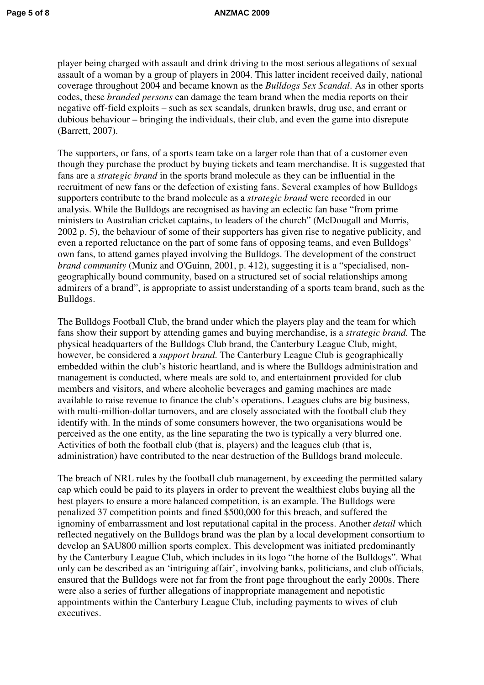player being charged with assault and drink driving to the most serious allegations of sexual assault of a woman by a group of players in 2004. This latter incident received daily, national coverage throughout 2004 and became known as the *Bulldogs Sex Scandal*. As in other sports codes, these *branded persons* can damage the team brand when the media reports on their negative off-field exploits – such as sex scandals, drunken brawls, drug use, and errant or dubious behaviour – bringing the individuals, their club, and even the game into disrepute (Barrett, 2007).

The supporters, or fans, of a sports team take on a larger role than that of a customer even though they purchase the product by buying tickets and team merchandise. It is suggested that fans are a *strategic brand* in the sports brand molecule as they can be influential in the recruitment of new fans or the defection of existing fans. Several examples of how Bulldogs supporters contribute to the brand molecule as a *strategic brand* were recorded in our analysis. While the Bulldogs are recognised as having an eclectic fan base "from prime ministers to Australian cricket captains, to leaders of the church" (McDougall and Morris, 2002 p. 5), the behaviour of some of their supporters has given rise to negative publicity, and even a reported reluctance on the part of some fans of opposing teams, and even Bulldogs' own fans, to attend games played involving the Bulldogs. The development of the construct *brand community* (Muniz and O'Guinn, 2001, p. 412), suggesting it is a "specialised, nongeographically bound community, based on a structured set of social relationships among admirers of a brand", is appropriate to assist understanding of a sports team brand, such as the Bulldogs.

The Bulldogs Football Club, the brand under which the players play and the team for which fans show their support by attending games and buying merchandise, is a *strategic brand.* The physical headquarters of the Bulldogs Club brand, the Canterbury League Club, might, however, be considered a *support brand*. The Canterbury League Club is geographically embedded within the club's historic heartland, and is where the Bulldogs administration and management is conducted, where meals are sold to, and entertainment provided for club members and visitors, and where alcoholic beverages and gaming machines are made available to raise revenue to finance the club's operations. Leagues clubs are big business, with multi-million-dollar turnovers, and are closely associated with the football club they identify with. In the minds of some consumers however, the two organisations would be perceived as the one entity, as the line separating the two is typically a very blurred one. Activities of both the football club (that is, players) and the leagues club (that is, administration) have contributed to the near destruction of the Bulldogs brand molecule.

The breach of NRL rules by the football club management, by exceeding the permitted salary cap which could be paid to its players in order to prevent the wealthiest clubs buying all the best players to ensure a more balanced competition, is an example. The Bulldogs were penalized 37 competition points and fined \$500,000 for this breach, and suffered the ignominy of embarrassment and lost reputational capital in the process. Another *detail* which reflected negatively on the Bulldogs brand was the plan by a local development consortium to develop an \$AU800 million sports complex. This development was initiated predominantly by the Canterbury League Club, which includes in its logo "the home of the Bulldogs". What only can be described as an 'intriguing affair', involving banks, politicians, and club officials, ensured that the Bulldogs were not far from the front page throughout the early 2000s. There were also a series of further allegations of inappropriate management and nepotistic appointments within the Canterbury League Club, including payments to wives of club executives.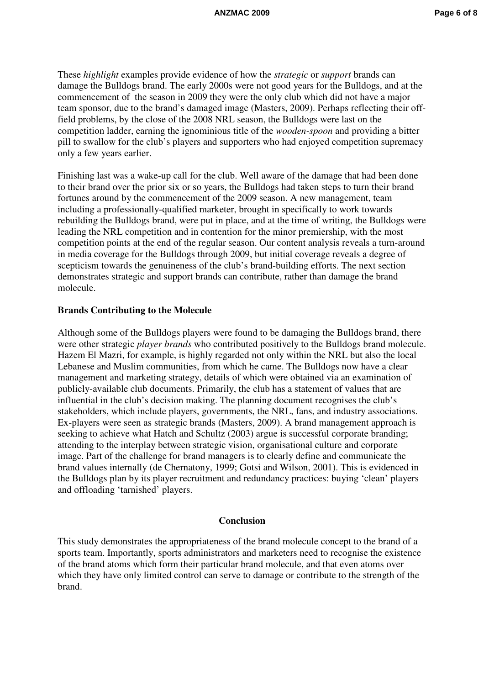These *highlight* examples provide evidence of how the *strategic* or *support* brands can damage the Bulldogs brand. The early 2000s were not good years for the Bulldogs, and at the commencement of the season in 2009 they were the only club which did not have a major team sponsor, due to the brand's damaged image (Masters, 2009). Perhaps reflecting their offfield problems, by the close of the 2008 NRL season, the Bulldogs were last on the competition ladder, earning the ignominious title of the *wooden-spoon* and providing a bitter pill to swallow for the club's players and supporters who had enjoyed competition supremacy only a few years earlier.

Finishing last was a wake-up call for the club. Well aware of the damage that had been done to their brand over the prior six or so years, the Bulldogs had taken steps to turn their brand fortunes around by the commencement of the 2009 season. A new management, team including a professionally-qualified marketer, brought in specifically to work towards rebuilding the Bulldogs brand, were put in place, and at the time of writing, the Bulldogs were leading the NRL competition and in contention for the minor premiership, with the most competition points at the end of the regular season. Our content analysis reveals a turn-around in media coverage for the Bulldogs through 2009, but initial coverage reveals a degree of scepticism towards the genuineness of the club's brand-building efforts. The next section demonstrates strategic and support brands can contribute, rather than damage the brand molecule.

#### **Brands Contributing to the Molecule**

Although some of the Bulldogs players were found to be damaging the Bulldogs brand, there were other strategic *player brands* who contributed positively to the Bulldogs brand molecule. Hazem El Mazri, for example, is highly regarded not only within the NRL but also the local Lebanese and Muslim communities, from which he came. The Bulldogs now have a clear management and marketing strategy, details of which were obtained via an examination of publicly-available club documents. Primarily, the club has a statement of values that are influential in the club's decision making. The planning document recognises the club's stakeholders, which include players, governments, the NRL, fans, and industry associations. Ex-players were seen as strategic brands (Masters, 2009). A brand management approach is seeking to achieve what Hatch and Schultz (2003) argue is successful corporate branding; attending to the interplay between strategic vision, organisational culture and corporate image. Part of the challenge for brand managers is to clearly define and communicate the brand values internally (de Chernatony, 1999; Gotsi and Wilson, 2001). This is evidenced in the Bulldogs plan by its player recruitment and redundancy practices: buying 'clean' players and offloading 'tarnished' players.

#### **Conclusion**

This study demonstrates the appropriateness of the brand molecule concept to the brand of a sports team. Importantly, sports administrators and marketers need to recognise the existence of the brand atoms which form their particular brand molecule, and that even atoms over which they have only limited control can serve to damage or contribute to the strength of the brand.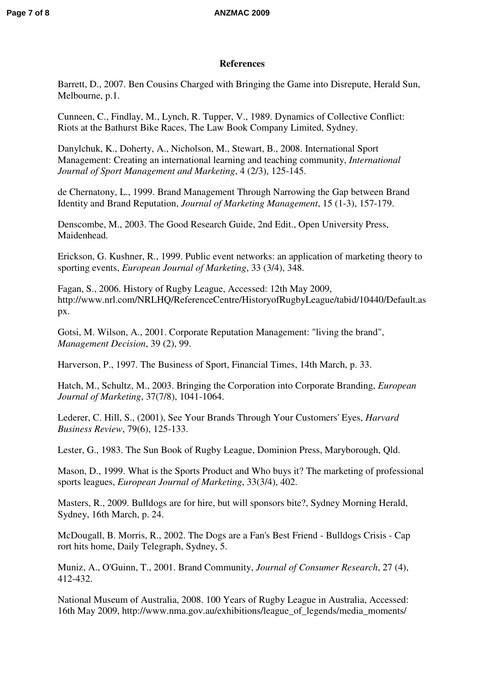### **References**

Barrett, D., 2007. Ben Cousins Charged with Bringing the Game into Disrepute, Herald Sun, Melbourne, p.1.

Cunneen, C., Findlay, M., Lynch, R. Tupper, V., 1989. Dynamics of Collective Conflict: Riots at the Bathurst Bike Races, The Law Book Company Limited, Sydney.

Danylchuk, K., Doherty, A., Nicholson, M., Stewart, B., 2008. International Sport Management: Creating an international learning and teaching community, *International Journal of Sport Management and Marketing*, 4 (2/3), 125-145.

de Chernatony, L., 1999. Brand Management Through Narrowing the Gap between Brand Identity and Brand Reputation, *Journal of Marketing Management*, 15 (1-3), 157-179.

Denscombe, M., 2003. The Good Research Guide, 2nd Edit., Open University Press, Maidenhead.

Erickson, G. Kushner, R., 1999. Public event networks: an application of marketing theory to sporting events, *European Journal of Marketing*, 33 (3/4), 348.

Fagan, S., 2006. History of Rugby League, Accessed: 12th May 2009, http://www.nrl.com/NRLHQ/ReferenceCentre/HistoryofRugbyLeague/tabid/10440/Default.as px.

Gotsi, M. Wilson, A., 2001. Corporate Reputation Management: "living the brand", *Management Decision*, 39 (2), 99.

Harverson, P., 1997. The Business of Sport, Financial Times, 14th March, p. 33.

Hatch, M., Schultz, M., 2003. Bringing the Corporation into Corporate Branding, *European Journal of Marketing*, 37(7/8), 1041-1064.

Lederer, C. Hill, S., (2001), See Your Brands Through Your Customers' Eyes, *Harvard Business Review*, 79(6), 125-133.

Lester, G., 1983. The Sun Book of Rugby League, Dominion Press, Maryborough, Qld.

Mason, D., 1999. What is the Sports Product and Who buys it? The marketing of professional sports leagues, *European Journal of Marketing*, 33(3/4), 402.

Masters, R., 2009. Bulldogs are for hire, but will sponsors bite?, Sydney Morning Herald, Sydney, 16th March, p. 24.

McDougall, B. Morris, R., 2002. The Dogs are a Fan's Best Friend - Bulldogs Crisis - Cap rort hits home, Daily Telegraph, Sydney, 5.

Muniz, A., O'Guinn, T., 2001. Brand Community, *Journal of Consumer Research*, 27 (4), 412-432.

National Museum of Australia, 2008. 100 Years of Rugby League in Australia, Accessed: 16th May 2009, http://www.nma.gov.au/exhibitions/league\_of\_legends/media\_moments/